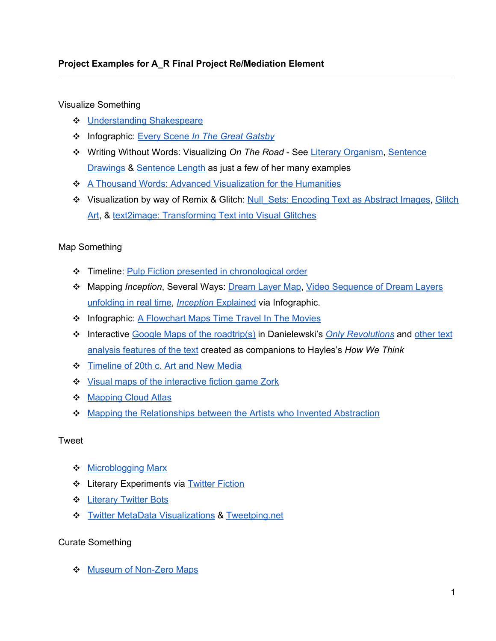## **Project Examples for A\_R Final Project Re/Mediation Element**

Visualize Something

- ❖ [Understanding](http://www.google.com/url?q=http%3A%2F%2Fwww.understanding-shakespeare.com%2F&sa=D&sntz=1&usg=AFQjCNFaTnuqGvch4ecMYJtAGjBaH76yLg) Shakespeare
- ❖ Infographic: Every [Scene](http://www.google.com/url?q=http%3A%2F%2Fwww.fastcodesign.com%2F1673095%2Finfographic-every-scene-in-the-great-gatsby%238&sa=D&sntz=1&usg=AFQjCNERfKNz4SeDA9Mo4V9tTSIgbdz_nw) *In The Great [Gatsby](http://www.google.com/url?q=http%3A%2F%2Fwww.fastcodesign.com%2F1673095%2Finfographic-every-scene-in-the-great-gatsby%238&sa=D&sntz=1&usg=AFQjCNERfKNz4SeDA9Mo4V9tTSIgbdz_nw)*
- ❖ Writing Without Words: Visualizing *On The Road* See Literary [Organism](http://www.google.com/url?q=http%3A%2F%2Fwww.itsbeenreal.co.uk%2Findex.php%3F%2Fwwwords%2Fliterary-organism%2F&sa=D&sntz=1&usg=AFQjCNECz-h71cTb4tNyHHFPfAhQZ12YJg), [Sentence](http://www.google.com/url?q=http%3A%2F%2Fwww.itsbeenreal.co.uk%2Findex.php%3F%2Fwwwords%2Fsentence-drawings%2F&sa=D&sntz=1&usg=AFQjCNGnnu6ibAqxopFtgbGSwG0adUDWwg) [Drawings](http://www.google.com/url?q=http%3A%2F%2Fwww.itsbeenreal.co.uk%2Findex.php%3F%2Fwwwords%2Fsentence-drawings%2F&sa=D&sntz=1&usg=AFQjCNGnnu6ibAqxopFtgbGSwG0adUDWwg) & [Sentence](http://www.google.com/url?q=http%3A%2F%2Fwww.itsbeenreal.co.uk%2Findex.php%3F%2Fwwwords%2Fsentence-length%2F&sa=D&sntz=1&usg=AFQjCNF8Px2hKN3Kqz3Dwgnq1lUWm_T9Kw) Length as just a few of her many examples
- ❖ A Thousand Words: Advanced [Visualization](http://www.google.com/url?q=http%3A%2F%2Fwww.tacc.utexas.edu%2Ftacc-projects%2Fa-thousand-words&sa=D&sntz=1&usg=AFQjCNF-q2XIS6gYO9PgMybGkq3AqD63Lw) for the Humanities
- ❖ Visualization by way of Remix & Glitch: [Null\\_Sets:](http://www.google.com/url?q=http%3A%2F%2Finfosthetics.com%2Farchives%2F2013%2F01%2Fnull_sets_encoding_text_as_abstract_images.html&sa=D&sntz=1&usg=AFQjCNGi3KktcyO5VGZMK4P9JOvk8-WnwA) Encoding Text as Abstract Images, [Glitch](http://www.google.com/url?q=http%3A%2F%2Finfosthetics.com%2Farchives%2F2005%2F03%2Fglitch_art_1.html&sa=D&sntz=1&usg=AFQjCNHDLt2GXcK-iSH_XTvz1bVGqDPdtQ) [Art,](http://www.google.com/url?q=http%3A%2F%2Finfosthetics.com%2Farchives%2F2005%2F03%2Fglitch_art_1.html&sa=D&sntz=1&usg=AFQjCNHDLt2GXcK-iSH_XTvz1bVGqDPdtQ) & text2image: [Transforming](http://www.google.com/url?q=http%3A%2F%2Finfosthetics.com%2Farchives%2F2009%2F02%2Ftext2image_transforming_text_into_a_glitch.html&sa=D&sntz=1&usg=AFQjCNEiMwxXDBovU7Mv8QVS_eo-fnvhzg) Text into Visual Glitches

#### Map Something

- ❖ Timeline: Pulp Fiction presented in [chronological](http://www.google.com/url?q=http%3A%2F%2Fflowingdata.com%2F2012%2F06%2F22%2Fpulp-fiction-presented-in-chronological-order%2F&sa=D&sntz=1&usg=AFQjCNHRRffDaW0d0po7E0bikLOQ-Sz3rQ) order
- ❖ Mapping *Inception*, Several Ways: [Dream](http://www.google.com/url?q=http%3A%2F%2Fgizmodo.com%2F5709292%2Fthe-definite-inception-dream-layer-map-drawn-by-christopher-nolan-himself&sa=D&sntz=1&usg=AFQjCNGq3_kBTB_AVb1Lk2cp0E1-P0kRCw) Layer Map, Video [Sequence](http://www.google.com/url?q=http%3A%2F%2Fgizmodo.com%2F5707178%2Fwatch-all-the-inception-dreams-unfold-in-real-time&sa=D&sntz=1&usg=AFQjCNH44c1_CL3WDJoTw6jNpX0_iIrdVQ) of Dream Layers [unfolding](http://www.google.com/url?q=http%3A%2F%2Fgizmodo.com%2F5707178%2Fwatch-all-the-inception-dreams-unfold-in-real-time&sa=D&sntz=1&usg=AFQjCNH44c1_CL3WDJoTw6jNpX0_iIrdVQ) in real time, *[Inception](http://www.google.com/url?q=http%3A%2F%2Fwww.wired.com%2Fmagazine%2F2010%2F11%2Fpl_inceptionexplained_infograiphc%2F&sa=D&sntz=1&usg=AFQjCNEVfpgZnC4Wnd7NsM_0oRy7tCn3XA)* [Explained](http://www.google.com/url?q=http%3A%2F%2Fwww.wired.com%2Fmagazine%2F2010%2F11%2Fpl_inceptionexplained_infograiphc%2F&sa=D&sntz=1&usg=AFQjCNEVfpgZnC4Wnd7NsM_0oRy7tCn3XA) via Infographic.
- ❖ Infographic: A [Flowchart](http://www.google.com/url?q=http%3A%2F%2Fwww.fastcodesign.com%2F1672395%2Finfographic-a-flowchart-maps-time-travel-in-the-movies%231&sa=D&sntz=1&usg=AFQjCNH6HwZEXUW4cb63ISDeCxbK38mOYw) Maps Time Travel In The Movies
- ❖ Interactive Google Maps of the [roadtrip\(s\)](http://www.google.com/url?q=http%3A%2F%2Fhowwethink.nkhayles.com%2Fonlyrev%2Ftext%2Flocation%2Fmap%2F&sa=D&sntz=1&usg=AFQjCNGsJAd1G5l21-WISbFVzc7PE9VMWA) in Danielewski's *Only [Revolutions](http://www.google.com/url?q=http%3A%2F%2Fwww.onlyrevolutions.com%2F&sa=D&sntz=1&usg=AFQjCNHwE78NlOtJTJQCrg1D7SnQzG64mg)* and [other](http://www.google.com/url?q=http%3A%2F%2Fhowwethink.nkhayles.com%2Fonlyrev&sa=D&sntz=1&usg=AFQjCNHATxJGb0_1L3nNVZjFM8g_YiET4g) text analysis [features](http://www.google.com/url?q=http%3A%2F%2Fhowwethink.nkhayles.com%2Fonlyrev&sa=D&sntz=1&usg=AFQjCNHATxJGb0_1L3nNVZjFM8g_YiET4g) of the text created as companions to Hayles's *How We Think*
- ❖ [Timeline](http://www.google.com/url?q=http%3A%2F%2Fwww.rchoetzlein.com%2Ftheory%2F2009%2Ftimeline-of-20th-c-art-and-new-media%2F&sa=D&sntz=1&usg=AFQjCNHEY98wfQG4gHc41jYDTKrthcq0LA) of 20th c. Art and New Media
- ❖ Visual maps of the [interactive](http://www.google.com/url?q=http%3A%2F%2Fstruckus.tripod.com%2FZork1maps.htm&sa=D&sntz=1&usg=AFQjCNFaCCSmq7Lb8JwncccH6TJTxrz-VA) fiction game Zork
- ❖ [Mapping](http://www.google.com/url?q=http%3A%2F%2Fsites.fhi.duke.edu%2Fanthropocene%2Frepresentation%2F&sa=D&sntz=1&usg=AFQjCNHPT05r1xfMbMpjV87TJQNbDYaVHQ) Cloud Atlas
- ❖ Mapping the [Relationships](http://www.google.com/url?q=http%3A%2F%2Finfosthetics.com%2Farchives%2F2013%2F01%2Fmapping_the_relationships_between_the_artists_who_invented_abstraction.html&sa=D&sntz=1&usg=AFQjCNHoHj5ocZoFjG-JIesM4ZcdqR7btA) between the Artists who Invented Abstraction

#### Tweet

- ❖ [Microblogging](http://www.google.com/url?q=http%3A%2F%2Fmicrobloggingmarx.wordpress.com%2F&sa=D&sntz=1&usg=AFQjCNHG-j-unYFBBcqbiDo2TGaOwGiGjQ) Marx
- ❖ Literary Experiments via [Twitter](https://www.google.com/url?q=https%3A%2F%2Fblog.twitter.com%2F2012%2Ftwitter-fiction-festival-selections&sa=D&sntz=1&usg=AFQjCNErD6XCScxPtni1IFBqkzNxYSdoww) Fiction
- ❖ [Literary](http://www.google.com/url?q=http%3A%2F%2Fnickm.com%2Fpost%2F2013%2F07%2For-set-upon-a-golden-bough-to-tweet%2F&sa=D&sntz=1&usg=AFQjCNEgfq-EgpvnGGaM6bMgYmc18u5TuA) Twitter Bots
- ❖ Twitter MetaData [Visualizations](http://www.google.com/url?q=http%3A%2F%2Fwww.fastcompany.com%2F3013208%2Fthese-amazing-twitter-metadata-visualizations-will-blow-your-mind&sa=D&sntz=1&usg=AFQjCNF-mXNMlI29Mjkam3LCL0WuygS8hg) & [Tweetping.net](http://www.google.com/url?q=http%3A%2F%2Ftweetping.net%2F&sa=D&sntz=1&usg=AFQjCNFnTfzSph04mtWJHw2sS-6YV_i3tg)

#### Curate Something

❖ Museum of Non-Zero Maps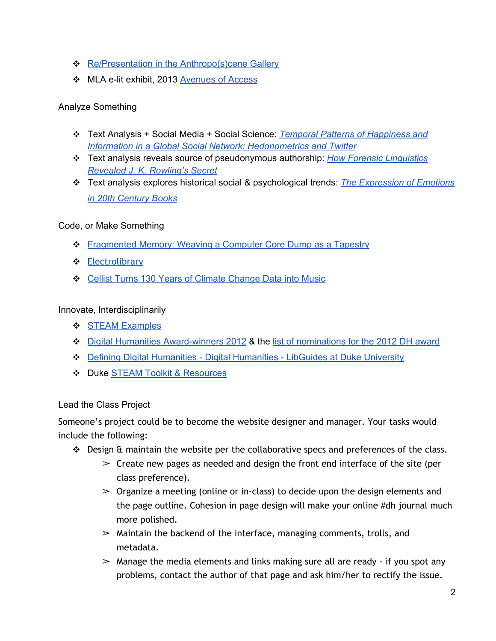- ❖ Re/Presentation in the [Anthropo\(s\)cene](http://www.google.com/url?q=http%3A%2F%2Fanthropocenebiosphereart.tumblr.com%2F&sa=D&sntz=1&usg=AFQjCNHNXtvyDboT49uiKNOkrmYsfnRyfw) Gallery
- ❖ MLA elit exhibit, 2013 [Avenues](http://www.google.com/url?q=http%3A%2F%2Fdtc-wsuv.org%2Felit%2Fmla2013%2F&sa=D&sntz=1&usg=AFQjCNFGZHvM7tjkCjyDsucjujZfJA2MBg) of Access

## Analyze Something

- ❖ Text Analysis + Social Media + Social Science[:](http://www.google.com/url?q=http%3A%2F%2Fwww.plosone.org%2Farticle%2Finfo%3Adoi%2F10.1371%2Fjournal.pone.0026752&sa=D&sntz=1&usg=AFQjCNEW_FPV40KAlbI1lpKlYrx8e-0CYA) *Temporal Patterns of [Happiness](http://www.google.com/url?q=http%3A%2F%2Fwww.plosone.org%2Farticle%2Finfo%3Adoi%2F10.1371%2Fjournal.pone.0026752&sa=D&sntz=1&usg=AFQjCNEW_FPV40KAlbI1lpKlYrx8e-0CYA) and Information in a Global Social Network: [Hedonometrics](http://www.google.com/url?q=http%3A%2F%2Fwww.plosone.org%2Farticle%2Finfo%3Adoi%2F10.1371%2Fjournal.pone.0026752&sa=D&sntz=1&usg=AFQjCNEW_FPV40KAlbI1lpKlYrx8e-0CYA) and Twitter*
- ❖ Text analysis reveals source of pseudonymous authorship[:](http://www.google.com/url?q=http%3A%2F%2Fwww.pbs.org%2Fwgbh%2Fnova%2Fnext%2Ftech%2Fhow-forensic-linguistics-revealed-j-k-rowlings-secret%2F&sa=D&sntz=1&usg=AFQjCNG_178wghFVFlkPIJrhQUQdcJiHJg) *How Forensic [Linguistics](http://www.google.com/url?q=http%3A%2F%2Fwww.pbs.org%2Fwgbh%2Fnova%2Fnext%2Ftech%2Fhow-forensic-linguistics-revealed-j-k-rowlings-secret%2F&sa=D&sntz=1&usg=AFQjCNG_178wghFVFlkPIJrhQUQdcJiHJg) Revealed J. K. [Rowling's](http://www.google.com/url?q=http%3A%2F%2Fwww.pbs.org%2Fwgbh%2Fnova%2Fnext%2Ftech%2Fhow-forensic-linguistics-revealed-j-k-rowlings-secret%2F&sa=D&sntz=1&usg=AFQjCNG_178wghFVFlkPIJrhQUQdcJiHJg) Secret*
- ❖ Text analysis explores historical social & psychological trends[:](http://www.google.com/url?q=http%3A%2F%2Fwww.plosone.org%2Farticle%2Finfo%3Adoi%2F10.1371%2Fjournal.pone.0059030%23abstract0&sa=D&sntz=1&usg=AFQjCNGe78-zO_t45vViu2jG51RlZcRNDw) *The [Expression](http://www.google.com/url?q=http%3A%2F%2Fwww.plosone.org%2Farticle%2Finfo%3Adoi%2F10.1371%2Fjournal.pone.0059030%23abstract0&sa=D&sntz=1&usg=AFQjCNGe78-zO_t45vViu2jG51RlZcRNDw) of Emotions in 20th [Century](http://www.google.com/url?q=http%3A%2F%2Fwww.plosone.org%2Farticle%2Finfo%3Adoi%2F10.1371%2Fjournal.pone.0059030%23abstract0&sa=D&sntz=1&usg=AFQjCNGe78-zO_t45vViu2jG51RlZcRNDw) Books*

## Code, or Make Something

- ❖ [Fragmented](http://www.google.com/url?q=http%3A%2F%2Finfosthetics.com%2Farchives%2F2013%2F08%2Ffragmented_memory_weaving_a_computer_core_dump_as_a_tapestry.html&sa=D&sntz=1&usg=AFQjCNHkbow9DcoQ9670VEjYShxmRB0l5Q) Memory: Weaving a Computer Core Dump as a Tapestry
- ❖ [Electrolibrary](http://www.google.com/url?q=http%3A%2F%2Fvimeo.com%2F47656204&sa=D&sntz=1&usg=AFQjCNFRv8bVtOIGS3r4RBlLD8pJxDtoMA)
- ❖ Cellist Turns 130 Years of Climate [Change](http://www.google.com/url?q=http%3A%2F%2Fwww.openculture.com%2F2013%2F07%2Fa_song_of_our_warming_planet.html&sa=D&sntz=1&usg=AFQjCNF5LpcGTBB8VJNZxXAZls5Ixg7Jgg) Data into Music

## Innovate, Interdisciplinarily

- ❖ STEAM [Examples](http://www.google.com/url?q=http%3A%2F%2Fdukesteamchallenge.org%2Fexamples-2%2F&sa=D&sntz=1&usg=AFQjCNGBoV9tqHZCdwsk2Rrs0LVU9CYxsw)
- ❖ Digital Humanities Award-winners 2012 & the list of [nominations](http://www.google.com/url?q=http%3A%2F%2Fdhawards.org%2Fdhawards2012%2Fnominations%2F&sa=D&sntz=1&usg=AFQjCNFcnlvLBsfXYsvop97xMcBz19qN0Q) for the 2012 DH award
- ❖ Defining Digital [Humanities](http://www.google.com/url?q=http%3A%2F%2Fguides.library.duke.edu%2Fdigital_humanities&sa=D&sntz=1&usg=AFQjCNFHhnpPtaLryGI_X8ycnnzeoao6QA) Digital Humanities LibGuides at Duke University
- ❖ Duke STEAM Toolkit & [Resources](http://www.google.com/url?q=http%3A%2F%2Fdukesteamchallenge.org%2Fresources%2F&sa=D&sntz=1&usg=AFQjCNE30MYdkC-v31Dbf_OL2-AN-pXuzA)

# Lead the Class Project

Someone's project could be to become the website designer and manager. Your tasks would include the following:

- ❖ Design & maintain the website per the collaborative specs and preferences of the class.
	- $\geq$  Create new pages as needed and design the front end interface of the site (per class preference).
	- $\geq$  Organize a meeting (online or in-class) to decide upon the design elements and the page outline. Cohesion in page design will make your online #dh journal much more polished.
	- $\geq$  Maintain the backend of the interface, managing comments, trolls, and metadata.
	- $\geq$  Manage the media elements and links making sure all are ready if you spot any problems, contact the author of that page and ask him/her to rectify the issue.